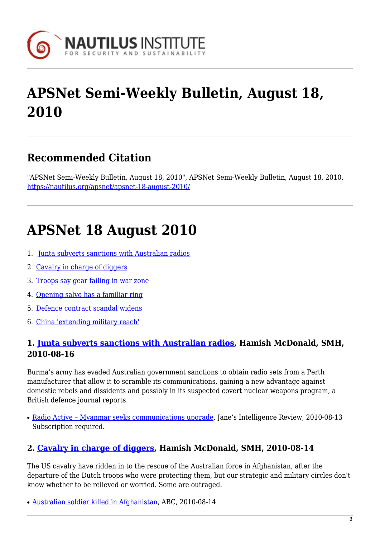

# **APSNet Semi-Weekly Bulletin, August 18, 2010**

### **Recommended Citation**

"APSNet Semi-Weekly Bulletin, August 18, 2010", APSNet Semi-Weekly Bulletin, August 18, 2010, <https://nautilus.org/apsnet/apsnet-18-august-2010/>

## **APSNet 18 August 2010**

- 1. [Junta subverts sanctions with Australian radios](#page-0-0)
- 2. [Cavalry in charge of diggers](#page-0-1)
- 3. [Troops say gear failing in war zone](#page-1-0)
- 4. [Opening salvo has a familiar ring](#page-1-1)
- 5. [Defence contract scandal widens](#page-1-2)
- 6. [China 'extending military reach'](#page-1-3)

#### <span id="page-0-0"></span>**1. [Junta subverts sanctions with Australian radios,](http://www.smh.com.au/technology/technology-news/junta-subverts-sanctions-with-australian-radios-20100815-1258b.html) Hamish McDonald, SMH, 2010-08-16**

Burma's army has evaded Australian government sanctions to obtain radio sets from a Perth manufacturer that allow it to scramble its communications, gaining a new advantage against domestic rebels and dissidents and possibly in its suspected covert nuclear weapons program, a British defence journal reports.

• [Radio Active – Myanmar seeks communications upgrade,](http://www4.janes.com/subscribe/jir/doc_view.jsp?K2DocKey=/content1/janesdata/mags/jir/history/jir2010/jir10958.htm@current&Prod_Name=JIR&QueryText=) Jane's Intelligence Review, 2010-08-13 Subscription required.

#### <span id="page-0-1"></span>**2. [Cavalry in charge of diggers,](http://www.smh.com.au/opinion/politics/cavalry-in-charge-of-diggers-20100813-1232w.html) Hamish McDonald, SMH, 2010-08-14**

The US cavalry have ridden in to the rescue of the Australian force in Afghanistan, after the departure of the Dutch troops who were protecting them, but our strategic and military circles don't know whether to be relieved or worried. Some are outraged.

• [Australian soldier killed in Afghanistan,](http://www.abc.net.au/news/stories/2010/08/14/2982924.htm) ABC, 2010-08-14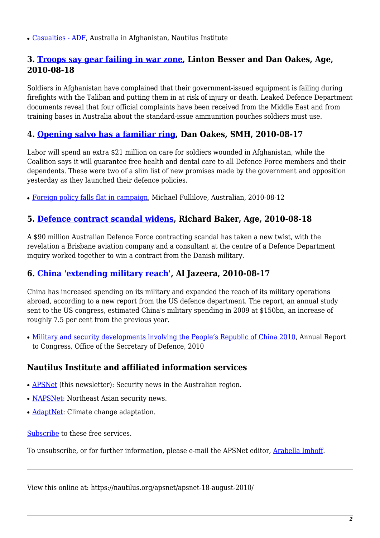• [Casualties - ADF](https://nautilus.org/publications/books/australian-forces-abroad/afghanistan/casualties-adf), Australia in Afghanistan, Nautilus Institute

#### <span id="page-1-0"></span>**3. [Troops say gear failing in war zone](http://www.smh.com.au/national/troops-say-gear-failing-in-war-zone-20100817-128iw.html), Linton Besser and Dan Oakes, Age, 2010-08-18**

Soldiers in Afghanistan have complained that their government-issued equipment is failing during firefights with the Taliban and putting them in at risk of injury or death. Leaked Defence Department documents reveal that four official complaints have been received from the Middle East and from training bases in Australia about the standard-issue ammunition pouches soldiers must use.

#### <span id="page-1-1"></span>**4. [Opening salvo has a familiar ring](http://www.smh.com.au/federal-election/opening-salvo-has-a-familiar-ring-20100816-1270a.html), Dan Oakes, SMH, 2010-08-17**

Labor will spend an extra \$21 million on care for soldiers wounded in Afghanistan, while the Coalition says it will guarantee free health and dental care to all Defence Force members and their dependents. These were two of a slim list of new promises made by the government and opposition yesterday as they launched their defence policies.

• [Foreign policy falls flat in campaign,](http://www.theaustralian.com.au/news/world/foreign-policy-falls-flat-in-campaign/story-e6frg6ux-1225904106499) Michael Fullilove, Australian, 2010-08-12

#### <span id="page-1-2"></span>**5. [Defence contract scandal widens](http://www.theage.com.au/national/defence-contract-scandal-widens-20100817-128jr.html), Richard Baker, Age, 2010-08-18**

A \$90 million Australian Defence Force contracting scandal has taken a new twist, with the revelation a Brisbane aviation company and a consultant at the centre of a Defence Department inquiry worked together to win a contract from the Danish military.

#### <span id="page-1-3"></span>**6. [China 'extending military reach',](http://english.aljazeera.net/news/asia-pacific/2010/08/201081733121585238.html) Al Jazeera, 2010-08-17**

China has increased spending on its military and expanded the reach of its military operations abroad, according to a new report from the US defence department. The report, an annual study sent to the US congress, estimated China's military spending in 2009 at \$150bn, an increase of roughly 7.5 per cent from the previous year.

• [Military and security developments involving the People's Republic of China 2010](https://docs.google.com/viewer?url=http://www.defense.gov/pubs/pdfs/2010_CMPR_Final.pdf&pli=1), Annual Report to Congress, Office of the Secretary of Defence, 2010

#### **Nautilus Institute and affiliated information services**

- **APSNet** (this newsletter): Security news in the Australian region.
- [NAPSNet](http://nautilus.org/napsnet): Northeast Asian security news.
- [AdaptNet:](http://nautilus.org/adaptnet) Climate change adaptation.

[Subscribe](https://nautilus.org/mailing-lists/sign-up-for-mailing-lists/sign-up-for-mailing-lists) to these free services.

To unsubscribe, or for further information, please e-mail the APSNet editor, [Arabella Imhoff](mailto:apsnet@rmit.edu.au).

View this online at: https://nautilus.org/apsnet/apsnet-18-august-2010/